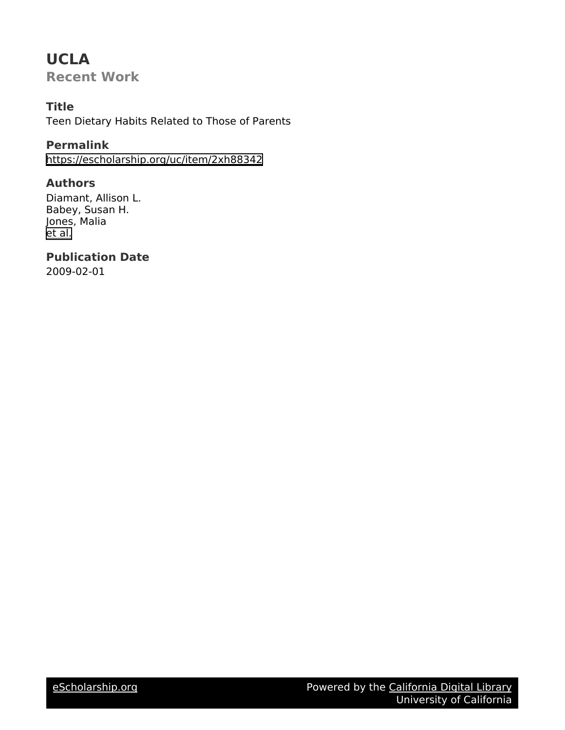# **UCLA**

**Recent Work**

# **Title**

Teen Dietary Habits Related to Those of Parents

# **Permalink**

<https://escholarship.org/uc/item/2xh88342>

# **Authors**

Diamant, Allison L. Babey, Susan H. Jones, Malia [et al.](https://escholarship.org/uc/item/2xh88342#author)

# **Publication Date**

2009-02-01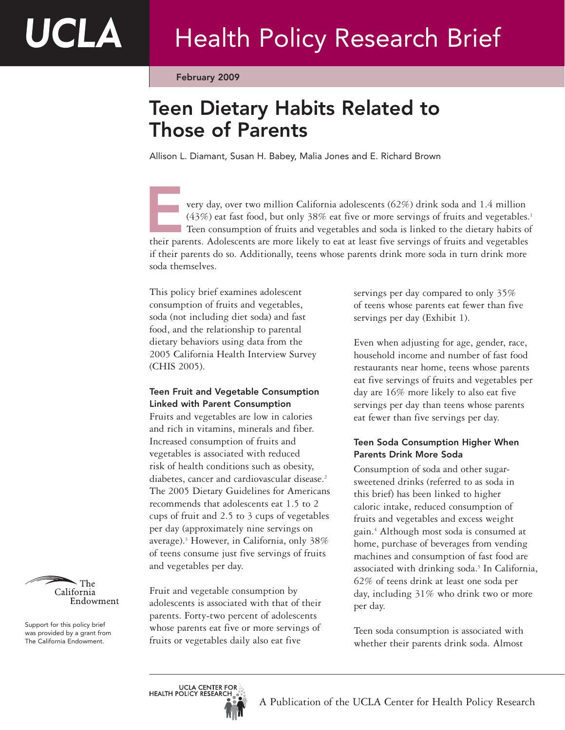February 2009

# Teen Dietary Habits Related to Those of Parents

Allison L. Diamant, Susan H. Babey, Malia Jones and E. Richard Brown

very day, over two million California adolescents (62%) drink soda and 1.4 million (43%) eat fast food, but only 38% eat five or more servings of fruits and vegetables.<sup>1</sup> Teen consumption of fruits and vegetables and soda is linked to the dietary habits of very day, over two million California adolescents (62%) drink soda and 1.4 million (43%) eat fast food, but only 38% eat five or more servings of fruits and vegetables.<br>Teen consumption of fruits and vegetables and soda is if their parents do so. Additionally, teens whose parents drink more soda in turn drink more soda themselves.

This policy brief examines adolescent consumption of fruits and vegetables, soda (not including diet soda) and fast food, and the relationship to parental dietary behaviors using data from the 2005 California Health Interview Survey (CHIS 2005).

## Teen Fruit and Vegetable Consumption Linked with Parent Consumption

Fruits and vegetables are low in calories and rich in vitamins, minerals and fiber. Increased consumption of fruits and vegetables is associated with reduced risk of health conditions such as obesity, diabetes, cancer and cardiovascular disease.<sup>2</sup> The 2005 Dietary Guidelines for Americans recommends that adolescents eat 1.5 to 2 cups of fruit and 2.5 to 3 cups of vegetables per day (approximately nine servings on average).3 However, in California, only 38% of teens consume just five servings of fruits and vegetables per day.

Fruit and vegetable consumption by adolescents is associated with that of their parents. Forty-two percent of adolescents whose parents eat five or more servings of fruits or vegetables daily also eat five

servings per day compared to only 35% of teens whose parents eat fewer than five servings per day (Exhibit 1).

Even when adjusting for age, gender, race, household income and number of fast food restaurants near home, teens whose parents eat five servings of fruits and vegetables per day are 16% more likely to also eat five servings per day than teens whose parents eat fewer than five servings per day.

## Teen Soda Consumption Higher When Parents Drink More Soda

Consumption of soda and other sugarsweetened drinks (referred to as soda in this brief) has been linked to higher caloric intake, reduced consumption of fruits and vegetables and excess weight gain.4 Although most soda is consumed at home, purchase of beverages from vending machines and consumption of fast food are associated with drinking soda.<sup>5</sup> In California, 62% of teens drink at least one soda per day, including 31% who drink two or more per day.

Teen soda consumption is associated with whether their parents drink soda. Almost



UCLA

Support for this policy brief was provided by a grant from The California Endowment.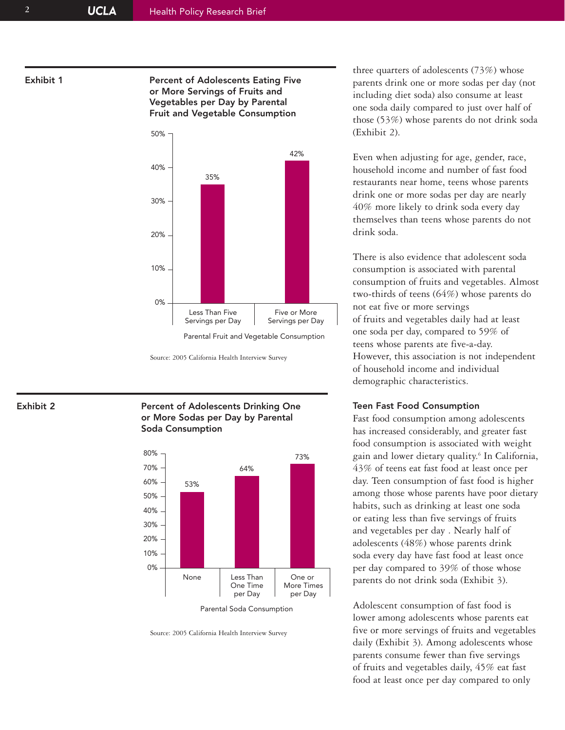Exhibit 1 **Percent of Adolescents Eating Five** or More Servings of Fruits and Vegetables per Day by Parental Fruit and Vegetable Consumption



Parental Fruit and Vegetable Consumption

Exhibit 2 **Percent of Adolescents Drinking One** or More Sodas per Day by Parental Soda Consumption



Source: 2005 California Health Interview Survey

three quarters of adolescents (73%) whose parents drink one or more sodas per day (not including diet soda) also consume at least one soda daily compared to just over half of those (53%) whose parents do not drink soda (Exhibit 2).

Even when adjusting for age, gender, race, household income and number of fast food restaurants near home, teens whose parents drink one or more sodas per day are nearly 40% more likely to drink soda every day themselves than teens whose parents do not drink soda.

There is also evidence that adolescent soda consumption is associated with parental consumption of fruits and vegetables. Almost two-thirds of teens (64%) whose parents do not eat five or more servings of fruits and vegetables daily had at least one soda per day, compared to 59% of teens whose parents ate five-a-day. However, this association is not independent of household income and individual demographic characteristics.

### Teen Fast Food Consumption

Fast food consumption among adolescents has increased considerably, and greater fast food consumption is associated with weight gain and lower dietary quality.6 In California, 43% of teens eat fast food at least once per day. Teen consumption of fast food is higher among those whose parents have poor dietary habits, such as drinking at least one soda or eating less than five servings of fruits and vegetables per day . Nearly half of adolescents (48%) whose parents drink soda every day have fast food at least once per day compared to 39% of those whose parents do not drink soda (Exhibit 3).

Adolescent consumption of fast food is lower among adolescents whose parents eat five or more servings of fruits and vegetables daily (Exhibit 3). Among adolescents whose parents consume fewer than five servings of fruits and vegetables daily, 45% eat fast food at least once per day compared to only

Source: 2005 California Health Interview Survey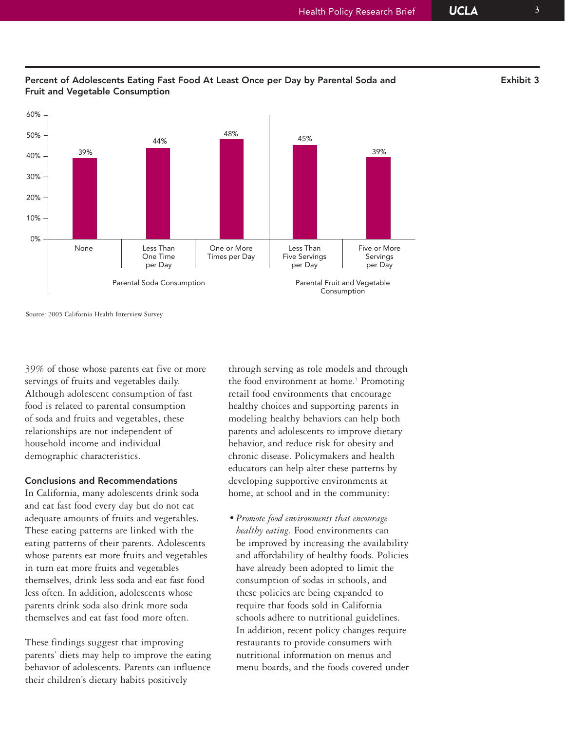

## Percent of Adolescents Eating Fast Food At Least Once per Day by Parental Soda and Exhibit 3 Fruit and Vegetable Consumption 48% 39% 39% 60% 50% 40% 44% 45%

Source: 2005 California Health Interview Survey

39% of those whose parents eat five or more servings of fruits and vegetables daily. Although adolescent consumption of fast food is related to parental consumption of soda and fruits and vegetables, these relationships are not independent of household income and individual demographic characteristics.

## Conclusions and Recommendations

In California, many adolescents drink soda and eat fast food every day but do not eat adequate amounts of fruits and vegetables. These eating patterns are linked with the eating patterns of their parents. Adolescents whose parents eat more fruits and vegetables in turn eat more fruits and vegetables themselves, drink less soda and eat fast food less often. In addition, adolescents whose parents drink soda also drink more soda themselves and eat fast food more often.

These findings suggest that improving parents' diets may help to improve the eating behavior of adolescents. Parents can influence their children's dietary habits positively

through serving as role models and through the food environment at home.<sup>7</sup> Promoting retail food environments that encourage healthy choices and supporting parents in modeling healthy behaviors can help both parents and adolescents to improve dietary behavior, and reduce risk for obesity and chronic disease. Policymakers and health educators can help alter these patterns by developing supportive environments at home, at school and in the community:

*• Promote food environments that encourage healthy eating.* Food environments can be improved by increasing the availability and affordability of healthy foods. Policies have already been adopted to limit the consumption of sodas in schools, and these policies are being expanded to require that foods sold in California schools adhere to nutritional guidelines. In addition, recent policy changes require restaurants to provide consumers with nutritional information on menus and menu boards, and the foods covered under

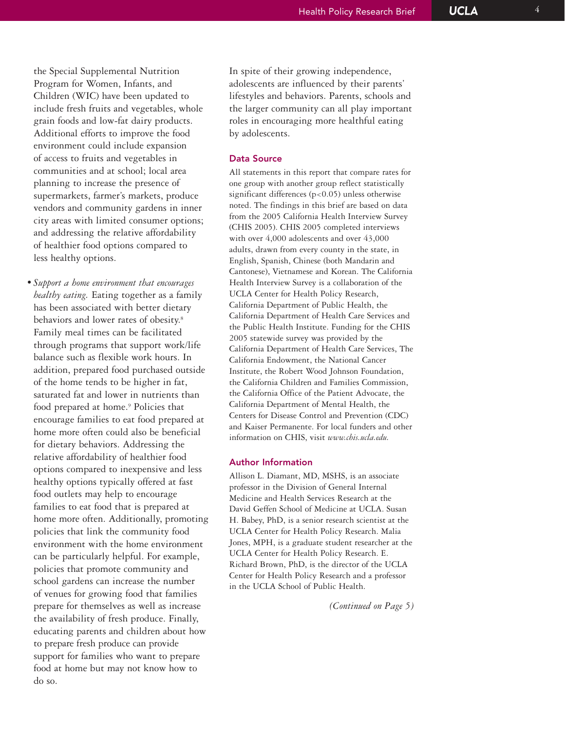the Special Supplemental Nutrition Program for Women, Infants, and Children (WIC) have been updated to include fresh fruits and vegetables, whole grain foods and low-fat dairy products. Additional efforts to improve the food environment could include expansion of access to fruits and vegetables in communities and at school; local area planning to increase the presence of supermarkets, farmer's markets, produce vendors and community gardens in inner city areas with limited consumer options; and addressing the relative affordability of healthier food options compared to less healthy options.

*• Support a home environment that encourages healthy eating.* Eating together as a family has been associated with better dietary behaviors and lower rates of obesity. 8 Family meal times can be facilitated through programs that support work/life balance such as flexible work hours. In addition, prepared food purchased outside of the home tends to be higher in fat, saturated fat and lower in nutrients than food prepared at home. <sup>9</sup> Policies that encourage families to eat food prepared at home more often could also be beneficial for dietary behaviors. Addressing the relative affordability of healthier food options compared to inexpensive and less healthy options typically offered at fast food outlets may help to encourage families to eat food that is prepared at home more often. Additionally, promoting policies that link the community food environment with the home environment can be particularly helpful. For example, policies that promote community and school gardens can increase the number of venues for growing food that families prepare for themselves as well as increase the availability of fresh produce. Finally, educating parents and children about how to prepare fresh produce can provide support for families who want to prepare food at home but may not know how to do so.

In spite of their growing independence, adolescents are influenced by their parents' lifestyles and behaviors. Parents, schools and the larger community can all play important roles in encouraging more healthful eating by adolescents.

## Data Source

All statements in this report that compare rates for one group with another group reflect statistically significant differences  $(p<0.05)$  unless otherwise noted. The findings in this brief are based on data from the 2005 California Health Interview Survey (CHIS 2005). CHIS 2005 completed interviews with over 4,000 adolescents and over 43,000 adults, drawn from every county in the state, in English, Spanish, Chinese (both Mandarin and Cantonese), Vietnamese and Korean. The California Health Interview Survey is a collaboration of the UCLA Center for Health Policy Research, California Department of Public Health, the California Department of Health Care Services and the Public Health Institute. Funding for the CHIS 2005 statewide survey was provided by the California Department of Health Care Services, The California Endowment, the National Cancer Institute, the Robert Wood Johnson Foundation, the California Children and Families Commission, the California Office of the Patient Advocate, the California Department of Mental Health, the Centers for Disease Control and Prevention (CDC) and Kaiser Permanente. For local funders and other information on CHIS, visit *www.chis.ucla.edu.* 

### Author Information

Allison L. Diamant, MD, MSHS, is an associate professor in the Division of General Internal Medicine and Health Services Research at the David Geffen School of Medicine at UCLA. Susan H. Babey, PhD, is a senior research scientist at the UCLA Center for Health Policy Research. Malia Jones, MPH, is a graduate student researcher at the UCLA Center for Health Policy Research. E. Richard Brown, PhD, is the director of the UCLA Center for Health Policy Research and a professor in the UCLA School of Public Health.

*(Continued on Page 5)*

**UCLA**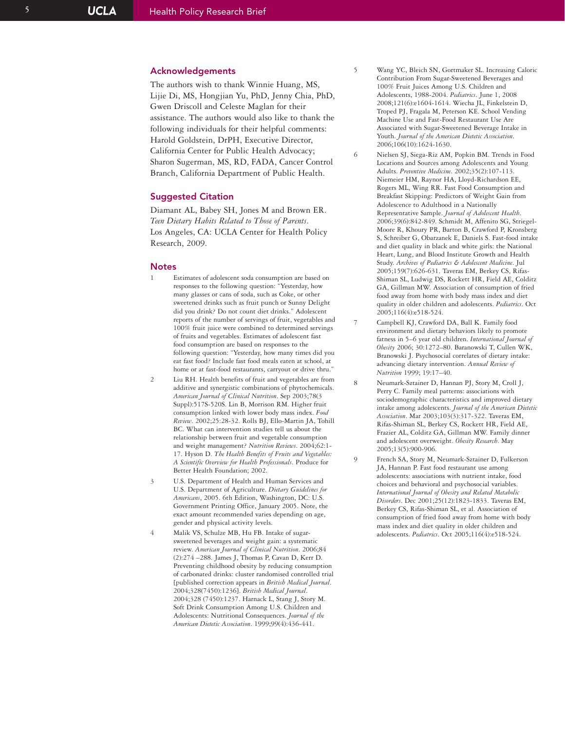## Acknowledgements

The authors wish to thank Winnie Huang, MS, Lijie Di, MS, Hongjian Yu, PhD, Jenny Chia, PhD, Gwen Driscoll and Celeste Maglan for their assistance. The authors would also like to thank the following individuals for their helpful comments: Harold Goldstein, DrPH, Executive Director, California Center for Public Health Advocacy; Sharon Sugerman, MS, RD, FADA, Cancer Control Branch, California Department of Public Health.

#### Suggested Citation

Diamant AL, Babey SH, Jones M and Brown ER. *Teen Dietary Habits Related to Those of Parents*. Los Angeles, CA: UCLA Center for Health Policy Research, 2009.

#### **Notes**

- Estimates of adolescent soda consumption are based on responses to the following question: "Yesterday, how many glasses or cans of soda, such as Coke, or other sweetened drinks such as fruit punch or Sunny Delight did you drink? Do not count diet drinks." Adolescent reports of the number of servings of fruit, vegetables and 100% fruit juice were combined to determined servings of fruits and vegetables. Estimates of adolescent fast food consumption are based on responses to the following question: "Yesterday, how many times did you eat fast food? Include fast food meals eaten at school, at home or at fast-food restaurants, carryout or drive thru."
- 2 Liu RH. Health benefits of fruit and vegetables are from additive and synergistic combinations of phytochemicals. *American Journal of Clinical Nutrition*. Sep 2003;78(3 Suppl):517S-520S. Lin B, Morrison RM. Higher fruit consumption linked with lower body mass index. *Food Review*. 2002;25:28-32. Rolls BJ, Ello-Martin JA, Tohill BC. What can intervention studies tell us about the relationship between fruit and vegetable consumption and weight management? *Nutrition Reviews*. 2004;62:1- 17. Hyson D. *The Health Benefits of Fruits and Vegetables: A Scientific Overview for Health Professionals*. Produce for Better Health Foundation; 2002.
- 3 U.S. Department of Health and Human Services and U.S. Department of Agriculture. *Dietary Guidelines for Americans*, 2005. 6th Edition, Washington, DC: U.S. Government Printing Office, January 2005. Note, the exact amount recommended varies depending on age, gender and physical activity levels.
	- Malik VS, Schulze MB, Hu FB. Intake of sugarsweetened beverages and weight gain: a systematic review. *American Journal of Clinical Nutrition*. 2006;84 (2):274 –288. James J, Thomas P, Cavan D, Kerr D. Preventing childhood obesity by reducing consumption of carbonated drinks: cluster randomised controlled trial [published correction appears in *British Medical Journal* . 2004;328(7450):1236]. *British Medical Journal* . 2004;328 (7450):1237. Harnack L, Stang J, Story M. Soft Drink Consumption Among U.S. Children and Adolescents: Nutritional Consequences. *Journal of the American Dietetic Association*. 1999;99(4):436-441.

5 Wang YC, Bleich SN, Gortmaker SL. Increasing Caloric Contribution From Sugar-Sweetened Beverages and 100% Fruit Juices Among U.S. Children and Adolescents, 1988-2004. *Pediatrics*. June 1, 2008 2008;121(6):e1604-1614. Wiecha JL, Finkelstein D, Troped PJ, Fragala M, Peterson KE. School Vending Machine Use and Fast-Food Restaurant Use Are Associated with Sugar-Sweetened Beverage Intake in Youth. *Journal of the American Dietetic Association* . 2006;106(10):1624-1630.

- 6 Nielsen SJ, Siega-Riz AM, Popkin BM. Trends in Food Locations and Sources among Adolescents and Young Adults. *Preventive Medicine*. 2002;35(2):107-113. Niemeier HM, Raynor HA, Lloyd-Richardson EE, Rogers ML, Wing RR. Fast Food Consumption and Breakfast Skipping: Predictors of Weight Gain from Adolescence to Adulthood in a Nationally Representative Sample. *Journal of Adolescent Health* . 2006;39(6):842-849. Schmidt M, Affenito SG, Striegel-Moore R, Khoury PR, Barton B, Crawford P, Kronsberg S, Schreiber G, Obarzanek E, Daniels S. Fast-food intake and diet quality in black and white girls: the National Heart, Lung, and Blood Institute Growth and Health Study. *Archives of Pediatrics & Adolescent Medicine*. Jul 2005;159(7):626-631. Taveras EM, Berkey CS, Rifas-Shiman SL, Ludwig DS, Rockett HR, Field AE, Colditz GA, Gillman MW. Association of consumption of fried food away from home with body mass index and diet quality in older children and adolescents. *Pediatrics*. Oct 2005;116(4):e518-524.
- 7 Campbell KJ, Crawford DA, Ball K. Family food environment and dietary behaviors likely to promote fatness in 5–6 year old children. *International Journal of Obesity* 2006; 30:1272–80. Baranowski T, Cullen WK, Branowski J. Psychosocial correlates of dietary intake: advancing dietary intervention. *Annual Review of Nutrition* 1999; 19:17–40.
- 8 Neumark-Sztainer D, Hannan PJ, Story M, Croll J, Perry C. Family meal patterns: associations with sociodemographic characteristics and improved dietary intake among adolescents. *Journal of the American Dietetic Association*. Mar 2003;103(3):317-322. Taveras EM, Rifas-Shiman SL, Berkey CS, Rockett HR, Field AE, Frazier AL, Colditz GA, Gillman MW. Family dinner and adolescent overweight. *Obesity Research*. May 2005;13(5):900-906.
- 9 French SA, Story M, Neumark-Sztainer D, Fulkerson JA, Hannan P. Fast food restaurant use among adolescents: associations with nutrient intake, food choices and behavioral and psychosocial variables. *International Journal of Obesity and Related Metabolic Disorders*. Dec 2001;25(12):1823-1833. Taveras EM, Berkey CS, Rifas-Shiman SL, et al. Association of consumption of fried food away from home with body mass index and diet quality in older children and adolescents. *Pediatrics*. Oct 2005;116(4):e518-524.